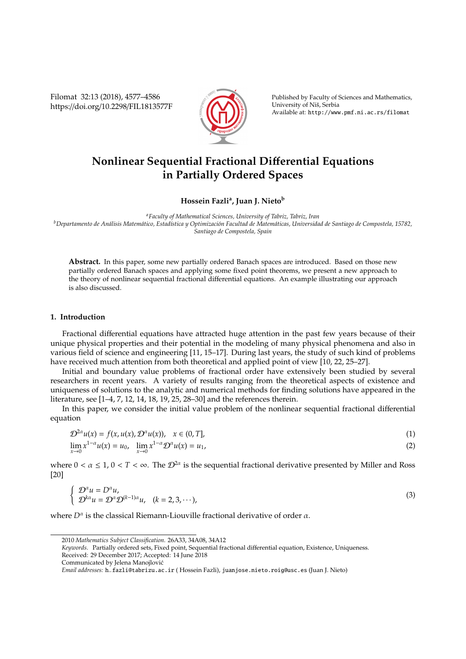Filomat 32:13 (2018), 4577–4586 https://doi.org/10.2298/FIL1813577F



Published by Faculty of Sciences and Mathematics, University of Niš, Serbia Available at: http://www.pmf.ni.ac.rs/filomat

# **Nonlinear Sequential Fractional Di**ff**erential Equations in Partially Ordered Spaces**

**Hossein Fazli<sup>a</sup> , Juan J. Nieto<sup>b</sup>**

*<sup>a</sup>Faculty of Mathematical Sciences, University of Tabriz, Tabriz, Iran* <sup>*b*</sup>Departamento de Análisis Matemático, Estadística y Optimización Facultad de Matemáticas, Universidad de Santiago de Compostela, 15782, *Santiago de Compostela, Spain*

**Abstract.** In this paper, some new partially ordered Banach spaces are introduced. Based on those new partially ordered Banach spaces and applying some fixed point theorems, we present a new approach to the theory of nonlinear sequential fractional differential equations. An example illustrating our approach is also discussed.

## **1. Introduction**

Fractional differential equations have attracted huge attention in the past few years because of their unique physical properties and their potential in the modeling of many physical phenomena and also in various field of science and engineering [11, 15–17]. During last years, the study of such kind of problems have received much attention from both theoretical and applied point of view [10, 22, 25–27].

Initial and boundary value problems of fractional order have extensively been studied by several researchers in recent years. A variety of results ranging from the theoretical aspects of existence and uniqueness of solutions to the analytic and numerical methods for finding solutions have appeared in the literature, see [1–4, 7, 12, 14, 18, 19, 25, 28–30] and the references therein.

In this paper, we consider the initial value problem of the nonlinear sequential fractional differential equation

$$
\mathcal{D}^{2\alpha}u(x) = f(x, u(x), \mathcal{D}^{\alpha}u(x)), \quad x \in (0, T],
$$
  
\n
$$
\lim_{x \to 0} x^{1-\alpha}u(x) = u_0, \quad \lim_{x \to 0} x^{1-\alpha} \mathcal{D}^{\alpha}u(x) = u_1,
$$
\n(1)

where  $0 < \alpha \leq 1$ ,  $0 < T < \infty$ . The  $\mathcal{D}^{2\alpha}$  is the sequential fractional derivative presented by Miller and Ross [20]

$$
\begin{cases}\n\mathcal{D}^{\alpha}u = D^{\alpha}u, \\
\mathcal{D}^{k\alpha}u = \mathcal{D}^{\alpha}\mathcal{D}^{(k-1)\alpha}u, \quad (k = 2, 3, \cdots),\n\end{cases}
$$
\n(3)

where  $D^{\alpha}$  is the classical Riemann-Liouville fractional derivative of order  $\alpha$ .

<sup>2010</sup> *Mathematics Subject Classification*. 26A33, 34A08, 34A12

*Keywords*. Partially ordered sets, Fixed point, Sequential fractional differential equation, Existence, Uniqueness. Received: 29 December 2017; Accepted: 14 June 2018

Communicated by Jelena Manojlovic´

*Email addresses:* h−fazli@tabrizu.ac.ir ( Hossein Fazli), juanjose.nieto.roig@usc.es (Juan J. Nieto)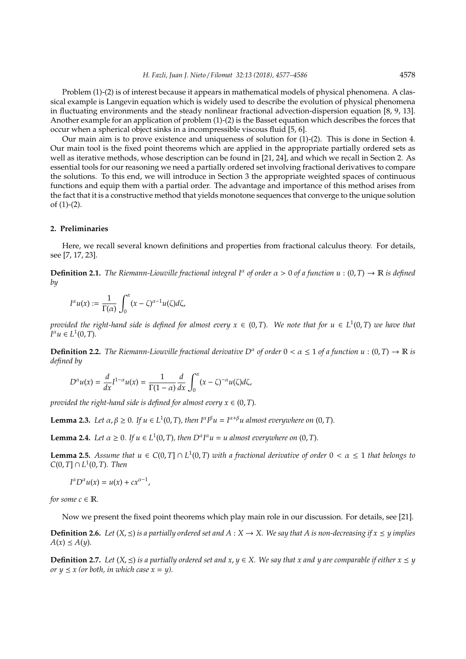Problem (1)-(2) is of interest because it appears in mathematical models of physical phenomena. A classical example is Langevin equation which is widely used to describe the evolution of physical phenomena in fluctuating environments and the steady nonlinear fractional advection-dispersion equation [8, 9, 13]. Another example for an application of problem (1)-(2) is the Basset equation which describes the forces that occur when a spherical object sinks in a incompressible viscous fluid [5, 6].

Our main aim is to prove existence and uniqueness of solution for (1)-(2). This is done in Section 4. Our main tool is the fixed point theorems which are applied in the appropriate partially ordered sets as well as iterative methods, whose description can be found in [21, 24], and which we recall in Section 2. As essential tools for our reasoning we need a partially ordered set involving fractional derivatives to compare the solutions. To this end, we will introduce in Section 3 the appropriate weighted spaces of continuous functions and equip them with a partial order. The advantage and importance of this method arises from the fact that it is a constructive method that yields monotone sequences that converge to the unique solution of  $(1)-(2)$ .

### **2. Preliminaries**

Here, we recall several known definitions and properties from fractional calculus theory. For details, see [7, 17, 23].

**Definition 2.1.** *The Riemann-Liouville fractional integral*  $I^{\alpha}$  *of order*  $\alpha > 0$  *of a function*  $u : (0, T) \to \mathbb{R}$  *is defined by*

$$
I^{\alpha}u(x):=\frac{1}{\Gamma(\alpha)}\int_0^x(x-\zeta)^{\alpha-1}u(\zeta)d\zeta,
$$

*provided the right-hand side is defined for almost every*  $x \in (0,T)$ . We note that for  $u \in L^1(0,T)$  we have that  $I^{\alpha}u \in L^1(0,T)$ .

**Definition 2.2.** *The Riemann-Liouville fractional derivative*  $D^{\alpha}$  *of order*  $0 < \alpha \le 1$  *of a function*  $u : (0, T) \to \mathbb{R}$  *is defined by*

$$
D^{\alpha}u(x) = \frac{d}{dx}I^{1-\alpha}u(x) = \frac{1}{\Gamma(1-\alpha)}\frac{d}{dx}\int_0^x (x-\zeta)^{-\alpha}u(\zeta)d\zeta,
$$

*provided the right-hand side is defined for almost every*  $x \in (0, T)$ *.* 

**Lemma 2.3.** *Let*  $\alpha, \beta \ge 0$ *. If*  $u \in L^1(0, T)$ *, then*  $I^{\alpha}I^{\beta}u = I^{\alpha+\beta}u$  almost everywhere on  $(0, T)$ *.* 

**Lemma 2.4.** *Let*  $\alpha \geq 0$ *. If*  $u \in L^1(0, T)$ *, then*  $D^{\alpha}I^{\alpha}u = u$  *almost everywhere on*  $(0, T)$ *.* 

**Lemma 2.5.** Assume that  $u \in C(0,T] \cap L^1(0,T)$  with a fractional derivative of order  $0 < \alpha \leq 1$  that belongs to  $C(0, T] ∩ L<sup>1</sup>(0, T)$ *. Then* 

$$
I^{\alpha}D^{\alpha}u(x)=u(x)+cx^{\alpha-1},
$$

*for some*  $c \in \mathbb{R}$ *.* 

Now we present the fixed point theorems which play main role in our discussion. For details, see [21].

**Definition 2.6.** Let  $(X, \leq)$  is a partially ordered set and  $A : X \to X$ . We say that A is non-decreasing if  $x \leq y$  implies  $A(x) \le A(y)$ .

**Definition 2.7.** Let  $(X, \leq)$  is a partially ordered set and  $x, y \in X$ . We say that x and y are comparable if either  $x \leq y$ *or*  $y \leq x$  (*or both, in which case*  $x = y$ *)*.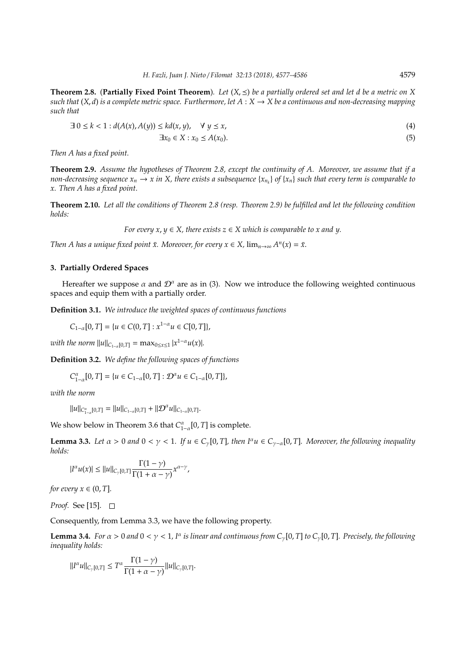**Theorem 2.8.** (**Partially Fixed Point Theorem**). Let  $(X, \leq)$  be a partially ordered set and let d be a metric on X *such that*  $(X, d)$  *is a complete metric space. Furthermore, let*  $A: X \to X$  *be a continuous and non-decreasing mapping such that*

$$
\exists 0 \le k < 1 : d(A(x), A(y)) \le kd(x, y), \quad \forall y \le x,\tag{4}
$$

 $\exists x_0 \in X : x_0 \le A(x_0).$  (5)

*Then A has a fixed point.*

**Theorem 2.9.** *Assume the hypotheses of Theorem 2.8, except the continuity of A. Moreover, we assume that if a non-decreasing sequence*  $x_n \to x$  *in X, there exists a subsequence*  $\{x_{n_k}\}$  *of*  $\{x_n\}$  *such that every term is comparable to x. Then A has a fixed point.*

**Theorem 2.10.** *Let all the conditions of Theorem 2.8 (resp. Theorem 2.9) be fulfilled and let the following condition holds:*

*For every*  $x, y \in X$ , there exists  $z \in X$  which is comparable to x and y.

*Then A has a unique fixed point*  $\bar{x}$ . *Moreover, for every*  $x \in X$ ,  $\lim_{n \to \infty} A^n(x) = \bar{x}$ .

#### **3. Partially Ordered Spaces**

Hereafter we suppose  $\alpha$  and  $\mathcal{D}^{\alpha}$  are as in (3). Now we introduce the following weighted continuous spaces and equip them with a partially order.

**Definition 3.1.** *We introduce the weighted spaces of continuous functions*

*C*<sub>1−α</sub>[0, *T*] = { $u \in C(0, T]$  :  $x^{1-\alpha}u \in C[0, T]$ },

*with the norm*  $||u||_{C_{1-\alpha}[0,T]} = \max_{0 \le x \le 1} |x^{1-\alpha}u(x)|$ *.* 

**Definition 3.2.** *We define the following spaces of functions*

 $C_{1-\alpha}^{\alpha}[0,T] = \{u \in C_{1-\alpha}[0,T]: \mathcal{D}^{\alpha}u \in C_{1-\alpha}[0,T]\},\$ 

*with the norm*

 $||u||_{C^{\alpha}_{1-\alpha}[0,T]} = ||u||_{C_{1-\alpha}[0,T]} + ||\mathcal{D}^{\alpha}u||_{C_{1-\alpha}[0,T]}.$ 

We show below in Theorem 3.6 that  $C_{1-\alpha}^{\alpha}[0,T]$  is complete.

**Lemma 3.3.** *Let*  $\alpha > 0$  *and*  $0 < \gamma < 1$ *. If*  $u \in C_{\gamma}[0, T]$ *, then*  $I^{\alpha}u \in C_{\gamma-\alpha}[0, T]$ *. Moreover, the following inequality holds:*

$$
|I^{\alpha}u(x)|\leq ||u||_{C_\gamma[0,T]}\frac{\Gamma(1-\gamma)}{\Gamma(1+\alpha-\gamma)}x^{\alpha-\gamma},
$$

*for every*  $x \in (0, T]$ *.* 

*Proof.* See [15]. □

Consequently, from Lemma 3.3, we have the following property.

**Lemma 3.4.** For  $\alpha > 0$  and  $0 < \gamma < 1$ , I<sup> $\alpha$ </sup> is linear and continuous from C<sub>γ</sub>[0, T] to C<sub>γ</sub>[0, T]. Precisely, the following *inequality holds:*

$$
||I^{\alpha}u||_{C_{\gamma}[0,T]} \leq T^{\alpha} \frac{\Gamma(1-\gamma)}{\Gamma(1+\alpha-\gamma)} ||u||_{C_{\gamma}[0,T]}.
$$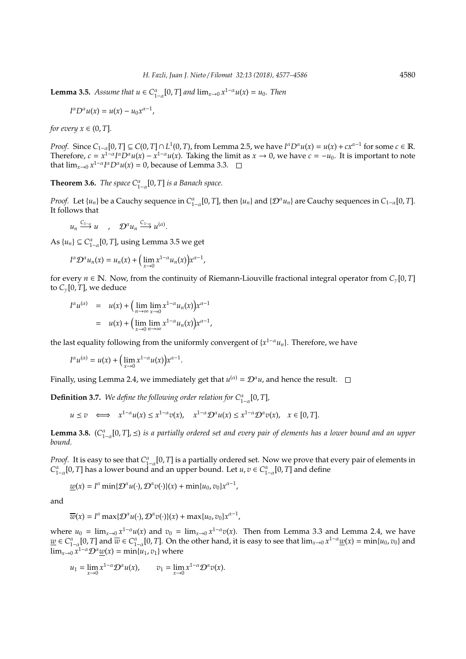**Lemma 3.5.** *Assume that*  $u \in C_{1-\alpha}^{\alpha}[0, T]$  *and*  $\lim_{x \to 0} x^{1-\alpha}u(x) = u_0$ *. Then* 

$$
I^{\alpha}D^{\alpha}u(x)=u(x)-u_0x^{\alpha-1},
$$

*for every*  $x \in (0, T]$ *.* 

*Proof.* Since  $C_{1-\alpha}[0,T] \subseteq C(0,T] \cap L^1(0,T)$ , from Lemma 2.5, we have  $I^{\alpha}D^{\alpha}u(x) = u(x) + cx^{\alpha-1}$  for some  $c \in \mathbb{R}$ . Therefore,  $c = x^{1-\alpha} I^{\alpha} D^{\alpha} u(x) - x^{1-\alpha} u(x)$ . Taking the limit as  $x \to 0$ , we have  $c = -u_0$ . It is important to note that  $\lim_{x\to 0} x^{1-\alpha} I^{\alpha} D^{\alpha} u(x) = 0$ , because of Lemma 3.3.

**Theorem 3.6.** *The space*  $C_{1-\alpha}^{\alpha}[0,T]$  *is a Banach space.* 

*Proof.* Let  $\{u_n\}$  be a Cauchy sequence in  $C_{1-\alpha}^{\alpha}[0,T]$ , then  $\{u_n\}$  and  $\{\mathcal{D}^{\alpha}u_n\}$  are Cauchy sequences in  $C_{1-\alpha}[0,T]$ . It follows that

 $u_n \stackrel{C_{1-\alpha}}{\longrightarrow} u$ ,  $\mathcal{D}^{\alpha} u_n \stackrel{C_{1-\alpha}}{\longrightarrow} u^{(\alpha)}$ .

As  $\{u_n\} \subseteq C_{1-\alpha}^{\alpha}[0, T]$ , using Lemma 3.5 we get

$$
I^{\alpha} \mathcal{D}^{\alpha} u_n(x) = u_n(x) + \left( \lim_{x \to 0} x^{1-\alpha} u_n(x) \right) x^{\alpha-1},
$$

for every *n* ∈ N. Now, from the continuity of Riemann-Liouville fractional integral operator from *C*γ[0, *T*] to  $C_{\gamma}[0, T]$ , we deduce

$$
I^{\alpha}u^{(\alpha)} = u(x) + \left(\lim_{n \to \infty} \lim_{x \to 0} x^{1-\alpha}u_n(x)\right)x^{\alpha-1}
$$
  
= 
$$
u(x) + \left(\lim_{x \to 0} \lim_{n \to \infty} x^{1-\alpha}u_n(x)\right)x^{\alpha-1},
$$

the last equality following from the uniformly convergent of {*x* <sup>1</sup>−<sup>α</sup>*un*}. Therefore, we have

$$
I^{\alpha}u^{(\alpha)} = u(x) + \left(\lim_{x \to 0} x^{1-\alpha}u(x)\right)x^{\alpha-1}.
$$

Finally, using Lemma 2.4, we immediately get that  $u^{(\alpha)} = \mathcal{D}^{\alpha} u$ , and hence the result.

**Definition 3.7.** We define the following order relation for  $C^{\alpha}_{1-\alpha}[0,T]$ ,

$$
u \le v \iff x^{1-\alpha}u(x) \le x^{1-\alpha}v(x), \quad x^{1-\alpha}\mathcal{D}^{\alpha}u(x) \le x^{1-\alpha}\mathcal{D}^{\alpha}v(x), \quad x \in [0, T].
$$

Lemma 3.8. (C<sup>α</sup><sub>1−α</sub>[0, *T*], ≤) is a partially ordered set and every pair of elements has a lower bound and an upper *bound.*

*Proof.* It is easy to see that  $C_{1-\alpha}^{\alpha}[0,T]$  is a partially ordered set. Now we prove that every pair of elements in  $C_{1-\alpha}^{\alpha}$  [0, *T*] has a lower bound and an upper bound. Let *u*, *v* ∈  $C_{1-\alpha}^{\alpha}$  [0, *T*] and define

$$
\underline{w}(x) = I^{\alpha} \min \{ \mathcal{D}^{\alpha} u(\cdot), \mathcal{D}^{\alpha} v(\cdot) \}(x) + \min \{ u_0, v_0 \} x^{\alpha - 1},
$$

and

$$
\overline{w}(x) = I^{\alpha} \max \{ \mathcal{D}^{\alpha} u(\cdot), \mathcal{D}^{\alpha} v(\cdot) \}(x) + \max \{ u_0, v_0 \} x^{\alpha - 1},
$$

where  $u_0 = \lim_{x\to 0} x^{1-\alpha}u(x)$  and  $v_0 = \lim_{x\to 0} x^{1-\alpha}v(x)$ . Then from Lemma 3.3 and Lemma 2.4, we have  $\underline{w} \in C^{\alpha}_{1-\alpha}[0,T]$  and  $\overline{w} \in C^{\alpha}_{1-\alpha}[0,T]$ . On the other hand, it is easy to see that  $\lim_{x\to 0} x^{1-\alpha} \underline{w}(x) = \min\{u_0, v_0\}$  and  $\lim_{x\to 0} x^{1-\alpha} \mathcal{D}^{\alpha} \underline{w}(x) = \min\{u_1, v_1\}$  where

$$
u_1=\lim_{x\to 0}x^{1-\alpha}\mathcal{D}^\alpha u(x),\qquad v_1=\lim_{x\to 0}x^{1-\alpha}\mathcal{D}^\alpha v(x).
$$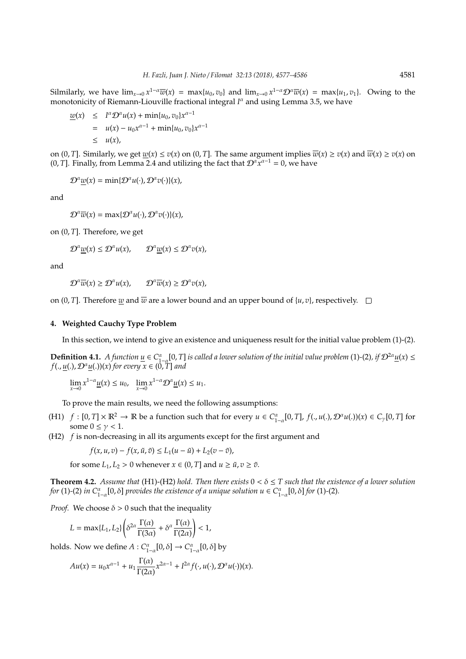Silmilarly, we have  $\lim_{x\to 0} x^{1-\alpha} \overline{w}(x) = \max\{u_0, v_0\}$  and  $\lim_{x\to 0} x^{1-\alpha} \mathcal{D}^{\alpha} \overline{w}(x) = \max\{u_1, v_1\}$ . Owing to the monotonicity of Riemann-Liouville fractional integral *I<sup>a</sup>* and using Lemma 3.5, we have

$$
\underline{w}(x) \leq I^{\alpha} \mathcal{D}^{\alpha} u(x) + \min\{u_0, v_0\} x^{\alpha - 1}
$$
  
=  $u(x) - u_0 x^{\alpha - 1} + \min\{u_0, v_0\} x^{\alpha - 1}$   
\$\leq u(x),

on  $(0, T]$ . Similarly, we get  $w(x) \le v(x)$  on  $(0, T]$ . The same argument implies  $\overline{w}(x) \ge v(x)$  and  $\overline{w}(x) \ge v(x)$  on (0, *T*]. Finally, from Lemma 2.4 and utilizing the fact that  $\mathcal{D}^{\alpha}x^{\alpha-1} = 0$ , we have

 $\mathcal{D}^{\alpha} \underline{w}(x) = \min \{ \mathcal{D}^{\alpha} u(\cdot), \mathcal{D}^{\alpha} v(\cdot) \}(x),$ 

and

 $\mathcal{D}^{\alpha}\overline{w}(x) = \max\{\mathcal{D}^{\alpha}u(\cdot), \mathcal{D}^{\alpha}v(\cdot)\}(x),$ 

on (0, *T*]. Therefore, we get

$$
\mathcal{D}^{\alpha} \underline{w}(x) \leq \mathcal{D}^{\alpha} u(x), \qquad \mathcal{D}^{\alpha} \underline{w}(x) \leq \mathcal{D}^{\alpha} v(x),
$$

and

$$
\mathcal{D}^{\alpha}\overline{w}(x) \ge \mathcal{D}^{\alpha}u(x), \qquad \mathcal{D}^{\alpha}\overline{w}(x) \ge \mathcal{D}^{\alpha}v(x),
$$

on  $(0, T]$ . Therefore *w* and  $\overline{w}$  are a lower bound and an upper bound of  $\{u, v\}$ , respectively.  $\Box$ 

### **4. Weighted Cauchy Type Problem**

In this section, we intend to give an existence and uniqueness result for the initial value problem (1)-(2).

**Definition 4.1.** *A function*  $\underline{u} \in C^{\alpha}_{1-\alpha}[0,T]$  *is called a lower solution of the initial value problem* (1)-(2)*, if*  $\mathcal{D}^{2\alpha}\underline{u}(x) \leq$  $f(., u(.), \mathcal{D}^{\alpha}u(.))(x)$  *for every*  $x \in (0, T]$  *and* 

$$
\lim_{x\to 0} x^{1-\alpha} \underline{u}(x) \le u_0, \quad \lim_{x\to 0} x^{1-\alpha} \mathcal{D}^{\alpha} \underline{u}(x) \le u_1.
$$

To prove the main results, we need the following assumptions:

- (H1)  $f : [0, T] \times \mathbb{R}^2 \to \mathbb{R}$  be a function such that for every  $u \in C^{\alpha}_{1-\alpha}[0, T]$ ,  $f(., u(.), \mathcal{D}^{\alpha}u(.))(x) \in C_{\gamma}[0, T]$  for some  $0 \leq \gamma < 1$ .
- (H2) *f* is non-decreasing in all its arguments except for the first argument and

$$
f(x, u, v) - f(x, \tilde{u}, \tilde{v}) \le L_1(u - \tilde{u}) + L_2(v - \tilde{v}),
$$

for some  $L_1, L_2 > 0$  whenever  $x \in (0, T]$  and  $u \ge \tilde{u}, v \ge \tilde{v}$ .

**Theorem 4.2.** *Assume that* (H1)-(H2) *hold. Then there exists*  $0 < \delta \leq T$  *such that the existence of a lower solution for* (1)-(2) *in*  $C^{\alpha}_{1-\alpha}[0,\delta]$  *provides the existence of a unique solution*  $u \in C^{\alpha}_{1-\alpha}[0,\delta]$  *<i>for* (1)-(2)*.* 

*Proof.* We choose  $\delta > 0$  such that the inequality

$$
L = \max\{L_1, L_2\} \left( \delta^{2\alpha} \frac{\Gamma(\alpha)}{\Gamma(3\alpha)} + \delta^{\alpha} \frac{\Gamma(\alpha)}{\Gamma(2\alpha)} \right) < 1,
$$

holds. Now we define  $A: C^{\alpha}_{1-\alpha}[0,\delta] \to C^{\alpha}_{1-\alpha}[0,\delta]$  by

$$
Au(x) = u_0 x^{\alpha-1} + u_1 \frac{\Gamma(\alpha)}{\Gamma(2\alpha)} x^{2\alpha-1} + I^{2\alpha} f(\cdot, u(\cdot), \mathcal{D}^{\alpha} u(\cdot))(x).
$$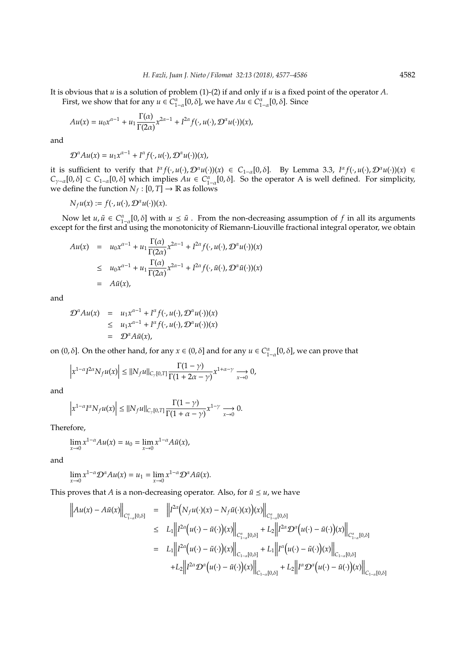It is obvious that *u* is a solution of problem (1)-(2) if and only if *u* is a fixed point of the operator *A*.

First, we show that for any  $u \in C^{\alpha}_{1-\alpha}[0,\delta]$ , we have  $Au \in C^{\alpha}_{1-\alpha}[0,\delta]$ . Since

$$
Au(x) = u_0 x^{\alpha-1} + u_1 \frac{\Gamma(\alpha)}{\Gamma(2\alpha)} x^{2\alpha-1} + I^{2\alpha} f(\cdot, u(\cdot), \mathcal{D}^{\alpha} u(\cdot))(x),
$$

and

$$
\mathcal{D}^{\alpha}Au(x) = u_1x^{\alpha-1} + I^{\alpha}f(\cdot, u(\cdot), \mathcal{D}^{\alpha}u(\cdot))(x),
$$

it is sufficient to verify that  $I^{\alpha} f(\cdot, u(\cdot), \mathcal{D}^{\alpha} u(\cdot))(x) \in C_{1-\alpha}[0, \delta]$ . By Lemma 3.3,  $I^{\alpha} f(\cdot, u(\cdot), \mathcal{D}^{\alpha} u(\cdot))(x) \in$  $C_{\gamma-\alpha}[0,\delta] \subset C_{1-\alpha}[0,\delta]$  which implies  $Au \in C_{1-\alpha}^{\alpha}[0,\delta]$ . So the operator A is well defined. For simplicity, we define the function  $N_f : [0, T] \to \mathbb{R}$  as follows

$$
N_{f}u(x):=f(\cdot,u(\cdot),\mathcal{D}^{\alpha}u(\cdot))(x).
$$

Now let  $u, \tilde{u} \in C^{\alpha}_{1-\alpha}[0,\delta]$  with  $u \leq \tilde{u}$ . From the non-decreasing assumption of *f* in all its arguments except for the first and using the monotonicity of Riemann-Liouville fractional integral operator, we obtain

$$
Au(x) = u_0 x^{\alpha - 1} + u_1 \frac{\Gamma(\alpha)}{\Gamma(2\alpha)} x^{2\alpha - 1} + I^{2\alpha} f(\cdot, u(\cdot), \mathcal{D}^{\alpha} u(\cdot))(x)
$$
  
\n
$$
\leq u_0 x^{\alpha - 1} + u_1 \frac{\Gamma(\alpha)}{\Gamma(2\alpha)} x^{2\alpha - 1} + I^{2\alpha} f(\cdot, \tilde{u}(\cdot), \mathcal{D}^{\alpha} \tilde{u}(\cdot))(x)
$$
  
\n
$$
= A\tilde{u}(x),
$$

and

$$
\mathcal{D}^{\alpha}Au(x) = u_1x^{\alpha-1} + I^{\alpha}f(\cdot, u(\cdot), \mathcal{D}^{\alpha}u(\cdot))(x)
$$
  
\n
$$
\leq u_1x^{\alpha-1} + I^{\alpha}f(\cdot, u(\cdot), \mathcal{D}^{\alpha}u(\cdot))(x)
$$
  
\n
$$
= \mathcal{D}^{\alpha}A\tilde{u}(x),
$$

on  $(0, \delta]$ . On the other hand, for any  $x \in (0, \delta]$  and for any  $u \in C^{\alpha}_{1-\alpha}[0, \delta]$ , we can prove that

$$
\left|x^{1-\alpha}I^{2\alpha}N_f u(x)\right|\leq \|N_f u\|_{C_\gamma[0,T]}\frac{\Gamma(1-\gamma)}{\Gamma(1+2\alpha-\gamma)}x^{1+\alpha-\gamma}\underset{x\to 0}{\longrightarrow} 0,
$$

and

$$
\left|x^{1-\alpha}I^{\alpha}N_{f}u(x)\right|\leq\|N_{f}u\|_{C_{\gamma}[0,T]}\frac{\Gamma(1-\gamma)}{\Gamma(1+\alpha-\gamma)}x^{1-\gamma}\underset{x\rightarrow 0}{\longrightarrow}0.
$$

Therefore,

$$
\lim_{x\to 0} x^{1-\alpha} Au(x) = u_0 = \lim_{x\to 0} x^{1-\alpha} A\tilde{u}(x),
$$

and

$$
\lim_{x\to 0} x^{1-\alpha} \mathcal{D}^{\alpha} Au(x) = u_1 = \lim_{x\to 0} x^{1-\alpha} \mathcal{D}^{\alpha} A \tilde{u}(x).
$$

This proves that *A* is a non-decreasing operator. Also, for  $\tilde{u} \leq u$ , we have

$$
\|Au(x) - A\tilde{u}(x)\|_{C^{\alpha}_{1-\alpha}[0,\delta]} = \|I^{2\alpha}(N_fu(\cdot)(x) - N_f\tilde{u}(\cdot)(x))(x)\|_{C^{\alpha}_{1-\alpha}[0,\delta]} \n\leq L_1 \|I^{2\alpha}(u(\cdot) - \tilde{u}(\cdot))(x)\|_{C^{\alpha}_{1-\alpha}[0,\delta]} + L_2 \|I^{2\alpha}\mathcal{D}^{\alpha}(u(\cdot) - \tilde{u}(\cdot))(x)\|_{C^{\alpha}_{1-\alpha}[0,\delta]} \n= L_1 \|I^{2\alpha}(u(\cdot) - \tilde{u}(\cdot))(x)\|_{C_{1-\alpha}[0,\delta]} + L_1 \|I^{\alpha}(u(\cdot) - \tilde{u}(\cdot))(x)\|_{C_{1-\alpha}[0,\delta]} \n+ L_2 \|I^{2\alpha}\mathcal{D}^{\alpha}(u(\cdot) - \tilde{u}(\cdot))(x)\|_{C_{1-\alpha}[0,\delta]} + L_2 \|I^{\alpha}\mathcal{D}^{\alpha}(u(\cdot) - \tilde{u}(\cdot))(x)\|_{C_{1-\alpha}[0,\delta]}
$$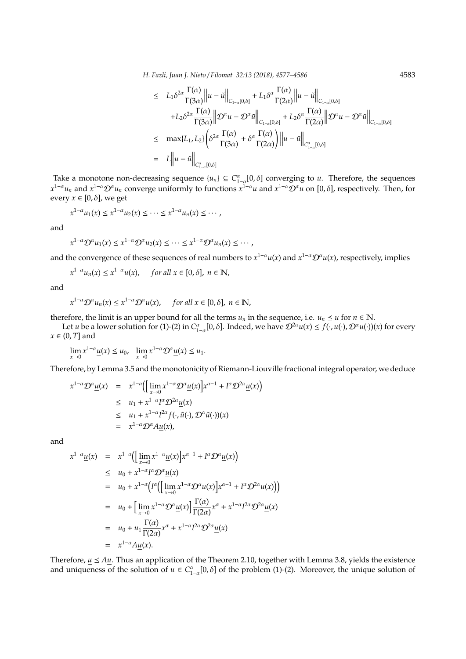*H. Fazli, Juan J. Nieto* / *Filomat 32:13 (2018), 4577–4586* 4583

$$
\leq L_1 \delta^{2\alpha} \frac{\Gamma(\alpha)}{\Gamma(3\alpha)} \|u - \tilde{u}\|_{C_{1-\alpha}[0,\delta]} + L_1 \delta^{\alpha} \frac{\Gamma(\alpha)}{\Gamma(2\alpha)} \|u - \tilde{u}\|_{C_{1-\alpha}[0,\delta]} \n+ L_2 \delta^{2\alpha} \frac{\Gamma(\alpha)}{\Gamma(3\alpha)} \| \mathcal{D}^{\alpha} u - \mathcal{D}^{\alpha} \tilde{u} \|_{C_{1-\alpha}[0,\delta]} + L_2 \delta^{\alpha} \frac{\Gamma(\alpha)}{\Gamma(2\alpha)} \| \mathcal{D}^{\alpha} u - \mathcal{D}^{\alpha} \tilde{u} \|_{C_{1-\alpha}[0,\delta]} \n\leq \max\{L_1, L_2\} \left( \delta^{2\alpha} \frac{\Gamma(\alpha)}{\Gamma(3\alpha)} + \delta^{\alpha} \frac{\Gamma(\alpha)}{\Gamma(2\alpha)} \right) \|u - \tilde{u} \|_{C_{1-\alpha}^{\alpha}[0,\delta]} \n= L \|u - \tilde{u} \|_{C_{1-\alpha}^{\alpha}[0,\delta]}
$$

Take a monotone non-decreasing sequence  $\{u_n\} \subseteq C_{1-\alpha}^{\alpha}[0,\delta]$  converging to *u*. Therefore, the sequences  $x^{1-\alpha}u_n$  and  $x^{1-\alpha}D^{\alpha}u_n$  converge uniformly to functions  $x^{1-\alpha}u$  and  $x^{1-\alpha}D^{\alpha}u$  on [0,  $\delta$ ], respectively. Then, for every  $x \in [0, \delta]$ , we get

$$
x^{1-\alpha}u_1(x) \leq x^{1-\alpha}u_2(x) \leq \cdots \leq x^{1-\alpha}u_n(x) \leq \cdots,
$$

and

$$
x^{1-\alpha} \mathcal{D}^{\alpha} u_1(x) \leq x^{1-\alpha} \mathcal{D}^{\alpha} u_2(x) \leq \cdots \leq x^{1-\alpha} \mathcal{D}^{\alpha} u_n(x) \leq \cdots,
$$

and the convergence of these sequences of real numbers to  $x^{1-\alpha}u(x)$  and  $x^{1-\alpha}\mathcal{D}^{\alpha}u(x)$ , respectively, implies

$$
x^{1-\alpha}u_n(x) \le x^{1-\alpha}u(x), \quad \text{ for all } x \in [0,\delta], \ n \in \mathbb{N},
$$

and

$$
x^{1-\alpha} \mathcal{D}^{\alpha} u_n(x) \leq x^{1-\alpha} \mathcal{D}^{\alpha} u(x), \quad \text{ for all } x \in [0,\delta], \ n \in \mathbb{N},
$$

therefore, the limit is an upper bound for all the terms  $u_n$  in the sequence, i.e.  $u_n \leq u$  for  $n \in \mathbb{N}$ .

Let *u* be a lower solution for (1)-(2) in  $C_{1-\alpha}^{\alpha}[0,\delta]$ . Indeed, we have  $\mathcal{D}^{2\alpha}\underline{u}(x) \leq f(\cdot,\underline{u}(\cdot),\mathcal{D}^{\alpha}\underline{u}(\cdot))(x)$  for every *x* ∈ (0, *T*] and

$$
\lim_{x\to 0} x^{1-\alpha} \underline{u}(x) \le u_0, \quad \lim_{x\to 0} x^{1-\alpha} \mathcal{D}^{\alpha} \underline{u}(x) \le u_1.
$$

Therefore, by Lemma 3.5 and the monotonicity of Riemann-Liouville fractional integral operator, we deduce

$$
x^{1-\alpha} \mathcal{D}^{\alpha} \underline{u}(x) = x^{1-\alpha} \Big( \Big[ \lim_{x \to 0} x^{1-\alpha} \mathcal{D}^{\alpha} \underline{u}(x) \Big] x^{\alpha-1} + I^{\alpha} \mathcal{D}^{2\alpha} \underline{u}(x) \Big)
$$
  
\n
$$
\leq u_1 + x^{1-\alpha} I^{\alpha} \mathcal{D}^{2\alpha} \underline{u}(x)
$$
  
\n
$$
\leq u_1 + x^{1-\alpha} I^{2\alpha} f(\cdot, \tilde{u}(\cdot), \mathcal{D}^{\alpha} \tilde{u}(\cdot))(x)
$$
  
\n
$$
= x^{1-\alpha} \mathcal{D}^{\alpha} A \underline{u}(x),
$$

and

$$
x^{1-\alpha} \underline{u}(x) = x^{1-\alpha} \Big( \Big[ \lim_{x \to 0} x^{1-\alpha} \underline{u}(x) \Big] x^{\alpha-1} + I^{\alpha} \mathcal{D}^{\alpha} \underline{u}(x) \Big)
$$
  
\n
$$
\leq u_0 + x^{1-\alpha} I^{\alpha} \mathcal{D}^{\alpha} \underline{u}(x)
$$
  
\n
$$
= u_0 + x^{1-\alpha} \Big( I^{\alpha} \Big( \Big[ \lim_{x \to 0} x^{1-\alpha} \mathcal{D}^{\alpha} \underline{u}(x) \Big] x^{\alpha-1} + I^{\alpha} \mathcal{D}^2 \underline{u}(x) \Big) \Big)
$$
  
\n
$$
= u_0 + \Big[ \lim_{x \to 0} x^{1-\alpha} \mathcal{D}^{\alpha} \underline{u}(x) \Big] \frac{\Gamma(\alpha)}{\Gamma(2\alpha)} x^{\alpha} + x^{1-\alpha} I^{2\alpha} \mathcal{D}^{2\alpha} \underline{u}(x)
$$
  
\n
$$
= u_0 + u_1 \frac{\Gamma(\alpha)}{\Gamma(2\alpha)} x^{\alpha} + x^{1-\alpha} I^{2\alpha} \mathcal{D}^{2\alpha} \underline{u}(x)
$$
  
\n
$$
= x^{1-\alpha} A \underline{u}(x).
$$

Therefore,  $u \le A u$ . Thus an application of the Theorem 2.10, together with Lemma 3.8, yields the existence and uniqueness of the solution of  $u \in C^{\alpha}_{1-\alpha}[0,\delta]$  of the problem (1)-(2). Moreover, the unique solution of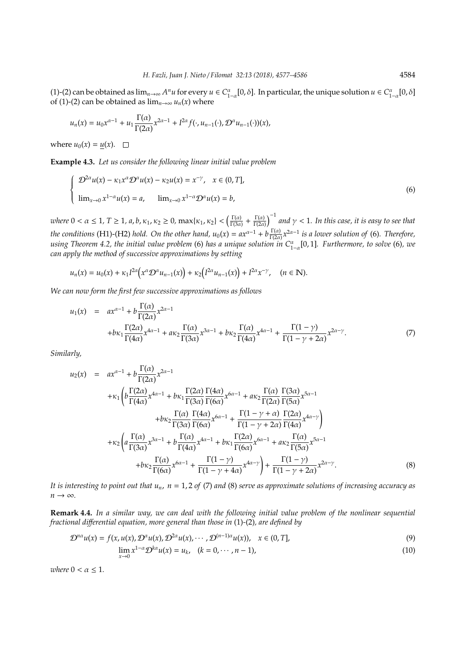(1)-(2) can be obtained as  $\lim_{n\to\infty} A^n u$  for every  $u \in C_{1-\alpha}^{\alpha}[0,\delta]$ . In particular, the unique solution  $u \in C_{1-\alpha}^{\alpha}[0,\delta]$ of (1)-(2) can be obtained as  $\lim_{n\to\infty} u_n(x)$  where

$$
u_n(x) = u_0 x^{\alpha-1} + u_1 \frac{\Gamma(\alpha)}{\Gamma(2\alpha)} x^{2\alpha-1} + I^{2\alpha} f(\cdot, u_{n-1}(\cdot), \mathcal{D}^{\alpha} u_{n-1}(\cdot))(x),
$$

where  $u_0(x) = u(x)$ .  $\Box$ 

**Example 4.3.** *Let us consider the following linear initial value problem*

$$
\begin{cases}\n\mathcal{D}^{2\alpha}u(x) - \kappa_1 x^{\alpha} \mathcal{D}^{\alpha}u(x) - \kappa_2 u(x) = x^{-\gamma}, & x \in (0, T], \\
\lim_{x \to 0} x^{1-\alpha}u(x) = a, & \lim_{x \to 0} x^{1-\alpha} \mathcal{D}^{\alpha}u(x) = b,\n\end{cases}
$$
\n(6)

*where*  $0 < \alpha \leq 1$ ,  $T \geq 1$ ,  $a$ ,  $b$ ,  $\kappa_1$ ,  $\kappa_2 \geq 0$ ,  $\max\{\kappa_1, \kappa_2\} < \left(\frac{\Gamma(\alpha)}{\Gamma(3\alpha)}\right)$  $\frac{\Gamma(\alpha)}{\Gamma(3\alpha)} + \frac{\Gamma(\alpha)}{\Gamma(2\alpha)}$  $\frac{\Gamma(\alpha)}{\Gamma(2\alpha)}$ <sup>-1</sup> and  $\gamma$  < 1. In this case, it is easy to see that *the conditions* (H1)-(H2) *hold. On the other hand,*  $u_0(x) = ax^{\alpha-1} + b \frac{\Gamma(\alpha)}{\Gamma(2\alpha)}$  $\frac{\Gamma(\alpha)}{\Gamma(2\alpha)} x^{2\alpha-1}$  *is a lower solution of* (6). Therefore, *using Theorem 4.2, the initial value problem* (6) *has a unique solution in C*<sup>α</sup> 1−α [0, 1]*. Furthermore, to solve* (6)*, we can apply the method of successive approximations by setting*

$$
u_n(x) = u_0(x) + \kappa_1 I^{2\alpha} \big( x^{\alpha} \mathcal{D}^{\alpha} u_{n-1}(x) \big) + \kappa_2 \big( I^{2\alpha} u_{n-1}(x) \big) + I^{2\alpha} x^{-\gamma}, \quad (n \in \mathbb{N}).
$$

*We can now form the first few successive approximations as follows*

$$
u_1(x) = ax^{\alpha-1} + b \frac{\Gamma(\alpha)}{\Gamma(2\alpha)} x^{2\alpha-1} + b \kappa_1 \frac{\Gamma(2\alpha)}{\Gamma(4\alpha)} x^{4\alpha-1} + a \kappa_2 \frac{\Gamma(\alpha)}{\Gamma(3\alpha)} x^{3\alpha-1} + b \kappa_2 \frac{\Gamma(\alpha)}{\Gamma(4\alpha)} x^{4\alpha-1} + \frac{\Gamma(1-\gamma)}{\Gamma(1-\gamma+2\alpha)} x^{2\alpha-\gamma}.
$$
(7)

*Similarly,*

$$
u_2(x) = ax^{\alpha-1} + b \frac{\Gamma(\alpha)}{\Gamma(2\alpha)} x^{2\alpha-1}
$$
  
+ $\kappa_1 \left( b \frac{\Gamma(2\alpha)}{\Gamma(4\alpha)} x^{4\alpha-1} + b \kappa_1 \frac{\Gamma(2\alpha)}{\Gamma(3\alpha)} \frac{\Gamma(4\alpha)}{\Gamma(6\alpha)} x^{6\alpha-1} + a \kappa_2 \frac{\Gamma(\alpha)}{\Gamma(2\alpha)} \frac{\Gamma(3\alpha)}{\Gamma(5\alpha)} x^{5\alpha-1} + b \kappa_2 \frac{\Gamma(\alpha)}{\Gamma(3\alpha)} \frac{\Gamma(4\alpha)}{\Gamma(6\alpha)} x^{6\alpha-1} + \frac{\Gamma(1-\gamma+\alpha)}{\Gamma(1-\gamma+2\alpha)} \frac{\Gamma(2\alpha)}{\Gamma(4\alpha)} x^{4\alpha-\gamma} \right)$   
+ $\kappa_2 \left( a \frac{\Gamma(\alpha)}{\Gamma(3\alpha)} x^{3\alpha-1} + b \frac{\Gamma(\alpha)}{\Gamma(4\alpha)} x^{4\alpha-1} + b \kappa_1 \frac{\Gamma(2\alpha)}{\Gamma(6\alpha)} x^{6\alpha-1} + a \kappa_2 \frac{\Gamma(\alpha)}{\Gamma(5\alpha)} x^{5\alpha-1} + b \kappa_2 \frac{\Gamma(\alpha)}{\Gamma(6\alpha)} x^{6\alpha-1} + \frac{\Gamma(1-\gamma)}{\Gamma(1-\gamma+4\alpha)} x^{4\alpha-\gamma} \right) + \frac{\Gamma(1-\gamma)}{\Gamma(1-\gamma+2\alpha)} x^{2\alpha-\gamma}.$  (8)

*It is interesting to point out that un*, *n* = 1, 2 *of* (7) *and* (8) *serve as approximate solutions of increasing accuracy as*  $n \rightarrow \infty$ .

**Remark 4.4.** *In a similar way, we can deal with the following initial value problem of the nonlinear sequential fractional di*ff*erential equation, more general than those in* (1)*-*(2)*, are defined by*

$$
\mathcal{D}^{n\alpha}u(x) = f(x, u(x), \mathcal{D}^{\alpha}u(x), \mathcal{D}^{2\alpha}u(x), \cdots, \mathcal{D}^{(n-1)\alpha}u(x)), \quad x \in (0, T],
$$
\n(9)

$$
\lim_{x \to 0} x^{1-\alpha} \mathcal{D}^{k\alpha} u(x) = u_k, \quad (k = 0, \cdots, n-1),
$$
\n(10)

*where*  $0 < \alpha \leq 1$ *.*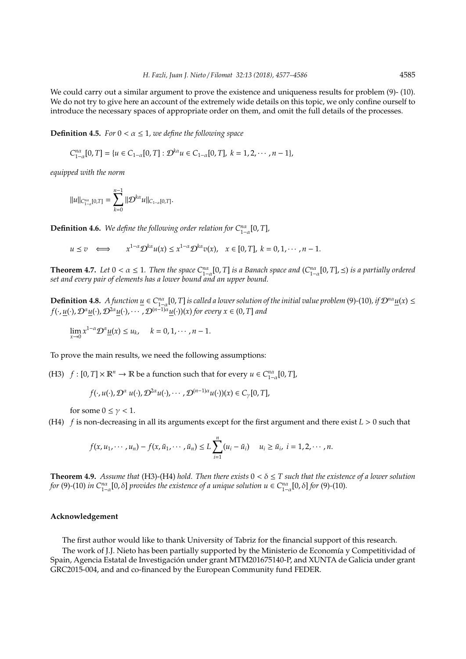We could carry out a similar argument to prove the existence and uniqueness results for problem  $(9)$ - (10). We do not try to give here an account of the extremely wide details on this topic, we only confine ourself to introduce the necessary spaces of appropriate order on them, and omit the full details of the processes.

**Definition 4.5.** *For*  $0 < \alpha \leq 1$ *, we define the following space* 

$$
C_{1-\alpha}^{n\alpha}[0,T]=\{u\in C_{1-\alpha}[0,T]:\mathcal{D}^{k\alpha}u\in C_{1-\alpha}[0,T],\;k=1,2,\cdots,n-1\},
$$

*equipped with the norm*

$$
||u||_{C_{1-\alpha}^{n\alpha}[0,T]} = \sum_{k=0}^{n-1} ||D^{k\alpha}u||_{C_{1-\alpha}[0,T]}.
$$

**Definition 4.6.** We define the following order relation for  $C_{1-\alpha}^{n\alpha}[0,T]$ ,

$$
u\preceq v\quad\Longleftrightarrow\qquad x^{1-\alpha}\mathcal{D}^{k\alpha}u(x)\leq x^{1-\alpha}\mathcal{D}^{k\alpha}v(x),\quad x\in[0,T],\;k=0,1,\cdots,n-1.
$$

**Theorem 4.7.** Let  $0 < \alpha \leq 1$ . Then the space  $C_{1-\alpha}^{n\alpha}[0,T]$  is a Banach space and  $(C_{1-\alpha}^{n\alpha}[0,T], \leq)$  is a partially ordered *set and every pair of elements has a lower bound and an upper bound.*

**Definition 4.8.** A function  $\underline{u} \in C_{1-\alpha}^{n\alpha}[0,T]$  is called a lower solution of the initial value problem (9)-(10)*,* if  $\mathcal{D}^{n\alpha}\underline{u}(x) \leq$ *f*(·, *u*(·), D<sup>α</sup>*u*(·), D2<sup>α</sup>*u*(·), · · · , D(*n*−1)<sup>α</sup>*u*(·))(*x*) *for every x* ∈ (0, *T*] *and*

 $\lim_{x \to 0} x^{1-\alpha} \mathcal{D}^{\alpha} \underline{u}(x) \le u_k, \quad k = 0, 1, \cdots, n-1.$ 

To prove the main results, we need the following assumptions:

(H3)  $f : [0, T] \times \mathbb{R}^n \to \mathbb{R}$  be a function such that for every  $u \in C_{1-\alpha}^{n\alpha}[0, T]$ ,

$$
f(\cdot, u(\cdot), \mathcal{D}^{\alpha} u(\cdot), \mathcal{D}^{2\alpha} u(\cdot), \cdots, \mathcal{D}^{(n-1)\alpha} u(\cdot))(x) \in C_{\gamma}[0, T],
$$

for some  $0 \leq \gamma < 1$ .

(H4) *f* is non-decreasing in all its arguments except for the first argument and there exist *L* > 0 such that

$$
f(x, u_1, \cdots, u_n) - f(x, \tilde{u}_1, \cdots, \tilde{u}_n) \leq L \sum_{i=1}^n (u_i - \tilde{u}_i) \quad u_i \geq \tilde{u}_i, \ i = 1, 2, \cdots, n.
$$

**Theorem 4.9.** *Assume that* (H3)-(H4) *hold. Then there exists*  $0 < \delta \leq T$  *such that the existence of a lower solution for* (9)-(10) *in*  $C_{1-\alpha}^{n\alpha}[0,\delta]$  *provides the existence of a unique solution*  $u \in C_{1-\alpha}^{n\alpha}[0,\delta]$  *for* (9)-(10)*.* 

#### **Acknowledgement**

The first author would like to thank University of Tabriz for the financial support of this research.

The work of J.J. Nieto has been partially supported by the Ministerio de Economía y Competitividad of Spain, Agencia Estatal de Investigacion under grant MTM201675140-P, and XUNTA de Galicia under grant ´ GRC2015-004, and and co-financed by the European Community fund FEDER.